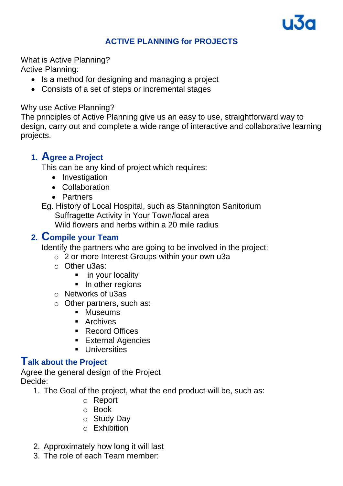

#### **ACTIVE PLANNING for PROJECTS**

What is Active Planning? Active Planning:

- Is a method for designing and managing a project
- Consists of a set of steps or incremental stages

#### Why use Active Planning?

The principles of Active Planning give us an easy to use, straightforward way to design, carry out and complete a wide range of interactive and collaborative learning projects.

# **1. Agree a Project**

This can be any kind of project which requires:

- Investigation
- Collaboration
- Partners
- Eg. History of Local Hospital, such as Stannington Sanitorium Suffragette Activity in Your Town/local area Wild flowers and herbs within a 20 mile radius

## **2. Compile your Team**

Identify the partners who are going to be involved in the project:

- o 2 or more Interest Groups within your own u3a
- o Other u3as:
	- in your locality
	- **·** In other regions
- o Networks of u3as
- o Other partners, such as:
	- Museums
	- Archives
	- Record Offices
	- **External Agencies**
	- **·** Universities

### **Talk about the Project**

Agree the general design of the Project Decide:

- 1. The Goal of the project, what the end product will be, such as:
	- o Report
	- o Book
	- o Study Day
	- $\circ$  Exhibition
- 2. Approximately how long it will last
- 3. The role of each Team member: